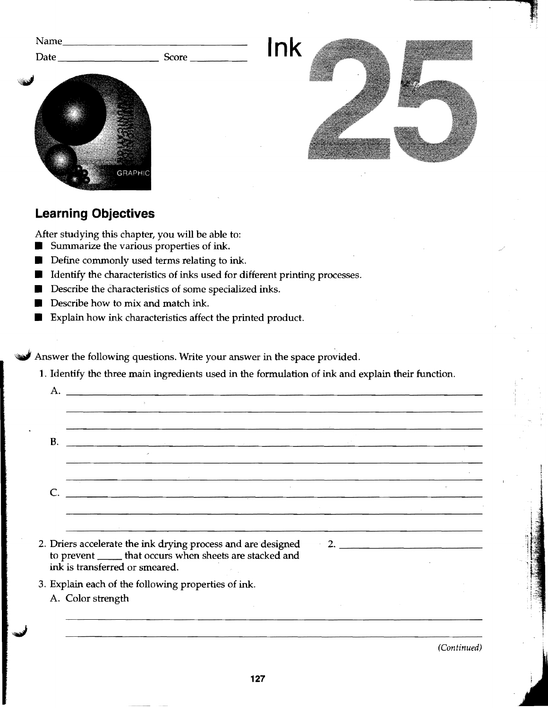| Name_                          |            |     |  |
|--------------------------------|------------|-----|--|
| <b>City)</b><br><b>GRAPHIC</b> | $\epsilon$ | Ink |  |

## Learning Objectives

A.

口

After studying this chapter, you will be able to

- $\blacksquare$  Summarize the various properties of ink.
- $\blacksquare$  Define commonly used terms relating to ink.
- $\blacksquare$  Identify the characteristics of inks used for different printing processes.
- **Describe the characteristics of some specialized inks.**
- Describe how to mix and match ink.
- Explain how ink characteristics affect the printed product.

Answer the following questions. Write your answer in the space provided.

1. Identify the three main ingredients used in the formulation of ink and explain their function

B C. The contract of the contract of the contract of the contract of the contract of the contract of the contract of the contract of the contract of the contract of the contract of the contract of the contract of the contrac L 2. Driers accelerate the ink drying process and are designed  $\sim$   $\sim$ 2. to prevent \_\_\_\_\_\_ that occurs when sheets are stacked and ink is transferred or smeared. 3. Explain each of the following properties of ink A. Color strength

(Continued)

 $\overline{1}$ 

ļ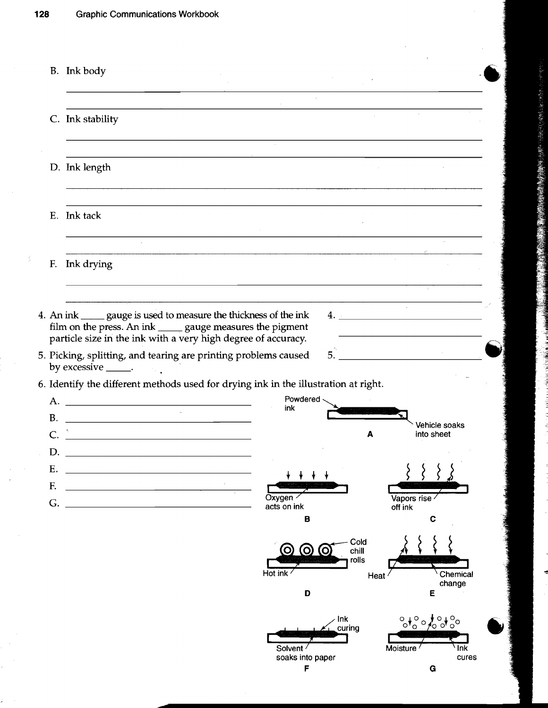$\frac{\delta}{\delta^2}$ 

|           | B. Ink body                                                                                                                                                                                                                                                                                                                               |
|-----------|-------------------------------------------------------------------------------------------------------------------------------------------------------------------------------------------------------------------------------------------------------------------------------------------------------------------------------------------|
|           | C. Ink stability                                                                                                                                                                                                                                                                                                                          |
|           | D. Ink length                                                                                                                                                                                                                                                                                                                             |
|           | E. Ink tack                                                                                                                                                                                                                                                                                                                               |
| F.        | Ink drying                                                                                                                                                                                                                                                                                                                                |
|           | $\mathcal{A}^{\mathcal{A}}$<br>4. An ink _____ gauge is used to measure the thickness of the ink<br>$4.$ $\overline{\phantom{a}}$<br>film on the press. An ink _____ gauge measures the pigment<br>particle size in the ink with a very high degree of accuracy.<br>5.<br>5. Picking, splitting, and tearing are printing problems caused |
| <b>B.</b> | by excessive _____.<br>6. Identify the different methods used for drying ink in the illustration at right.<br>Powdered -<br>ink<br><b>Service</b><br><u> 1980 - Johann Barbara, martin amerikan basar da</u><br>Vehicle soaks                                                                                                             |
| Ε.        | <u> 1989 - Johann Stein, mars an deutscher Stein († 1958)</u><br>into sheet<br>A                                                                                                                                                                                                                                                          |
| F.<br>G.  | <u> 1980 - Johann Barn, mars an t-Amerikaansk ferhandsk foarmen († 1908)</u><br>Vapors rise<br>Oxygen<br>acts on ink<br>off ink<br>B<br>C                                                                                                                                                                                                 |
|           | Cold<br>chill<br>rolls<br>Hot ink<br>Chemical<br>Heat<br>change<br>D<br>E                                                                                                                                                                                                                                                                 |
|           | Ink<br>$-94004000$<br>curing<br>Moisture <sup>1</sup><br>Solvent /<br>Ink<br>soaks into paper<br>cures                                                                                                                                                                                                                                    |

ł

ċ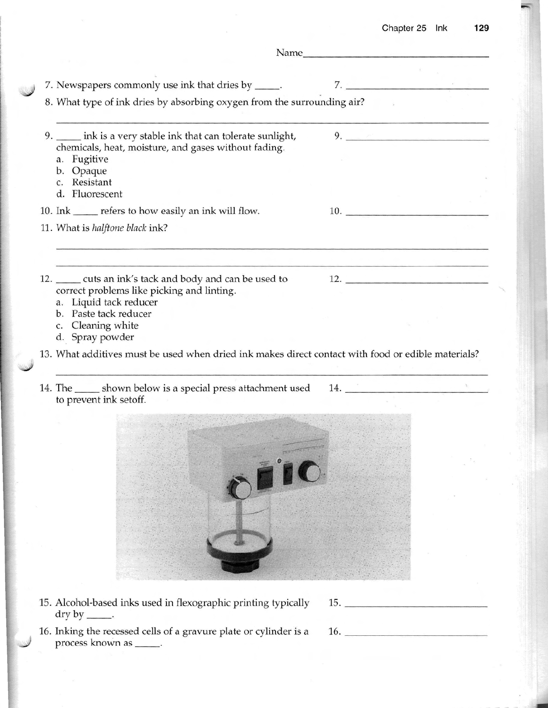| 7. Newspapers commonly use ink that dries by _____.                                                                                                                                                                                                             | 7.                                                                                                                                                                                                                            |  |
|-----------------------------------------------------------------------------------------------------------------------------------------------------------------------------------------------------------------------------------------------------------------|-------------------------------------------------------------------------------------------------------------------------------------------------------------------------------------------------------------------------------|--|
| 8. What type of ink dries by absorbing oxygen from the surrounding air?                                                                                                                                                                                         |                                                                                                                                                                                                                               |  |
| 9. ____ ink is a very stable ink that can tolerate sunlight,<br>chemicals, heat, moisture, and gases without fading.<br>a. Fugitive<br>b. Opaque<br>c. Resistant<br>d. Fluorescent                                                                              | $9.$ The set of the set of the set of the set of the set of the set of the set of the set of the set of the set of the set of the set of the set of the set of the set of the set of the set of the set of the set of the set |  |
| 10. Ink ______ refers to how easily an ink will flow.                                                                                                                                                                                                           | 10.                                                                                                                                                                                                                           |  |
| 11. What is halftone black ink?                                                                                                                                                                                                                                 |                                                                                                                                                                                                                               |  |
| 12. ______ cuts an ink's tack and body and can be used to<br>correct problems like picking and linting.<br>a. Liquid tack reducer<br>b. Paste tack reducer<br>c. Cleaning white<br>d. Spray powder                                                              | 12.                                                                                                                                                                                                                           |  |
| 13. What additives must be used when dried ink makes direct contact with food or edible materials?<br>14. The shown below is a special press attachment used 14. The subset of the shown below is a special press attachment used 14.<br>to prevent ink setoff. |                                                                                                                                                                                                                               |  |
|                                                                                                                                                                                                                                                                 |                                                                                                                                                                                                                               |  |

15. Alcoho1-based inks used in flexographic printing typically 15 dry by  $\_\_\_\$ .

ľ ŀ ŀ ŀ Į ŀ

> 16. Inking the recessed cells of a gravure plate or cylinder is a 16. process known as \_\_\_\_\_.



I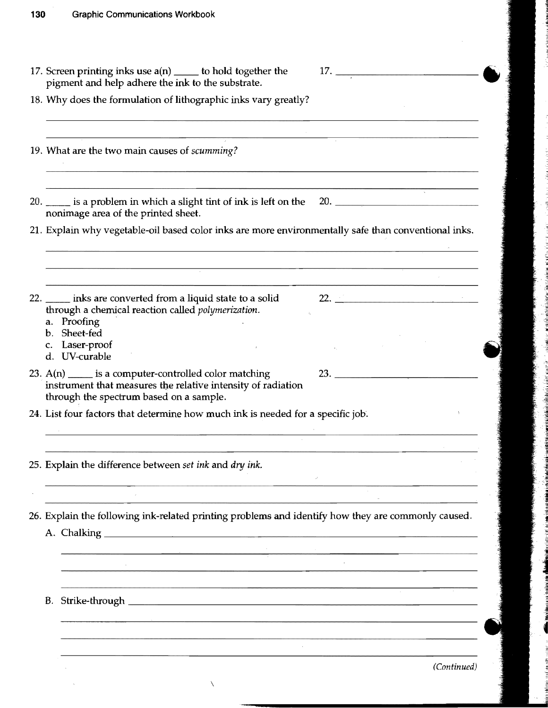| 17. Screen printing inks use $a(n)$ _____ to hold together the                                                                                                |                                                                                                                                                                                                                                                                                                                       |
|---------------------------------------------------------------------------------------------------------------------------------------------------------------|-----------------------------------------------------------------------------------------------------------------------------------------------------------------------------------------------------------------------------------------------------------------------------------------------------------------------|
| pigment and help adhere the ink to the substrate.                                                                                                             |                                                                                                                                                                                                                                                                                                                       |
| 18. Why does the formulation of lithographic inks vary greatly?                                                                                               |                                                                                                                                                                                                                                                                                                                       |
| 19. What are the two main causes of scumming?                                                                                                                 |                                                                                                                                                                                                                                                                                                                       |
|                                                                                                                                                               |                                                                                                                                                                                                                                                                                                                       |
| 20. _____ is a problem in which a slight tint of ink is left on the 20. ____________________________<br>nonimage area of the printed sheet.                   |                                                                                                                                                                                                                                                                                                                       |
| 21. Explain why vegetable-oil based color inks are more environmentally safe than conventional inks.                                                          |                                                                                                                                                                                                                                                                                                                       |
|                                                                                                                                                               |                                                                                                                                                                                                                                                                                                                       |
| 22. _____ inks are converted from a liquid state to a solid<br>through a chemical reaction called polymerization.<br>a. Proofing                              | $22.$ $\frac{1}{2}$ $\frac{1}{2}$ $\frac{1}{2}$ $\frac{1}{2}$ $\frac{1}{2}$ $\frac{1}{2}$ $\frac{1}{2}$ $\frac{1}{2}$ $\frac{1}{2}$ $\frac{1}{2}$ $\frac{1}{2}$ $\frac{1}{2}$ $\frac{1}{2}$ $\frac{1}{2}$ $\frac{1}{2}$ $\frac{1}{2}$ $\frac{1}{2}$ $\frac{1}{2}$ $\frac{1}{2}$ $\frac{1}{2}$ $\frac{1}{2}$ $\frac{1$ |
| b. Sheet-fed                                                                                                                                                  |                                                                                                                                                                                                                                                                                                                       |
| c. Laser-proof<br>d. UV-curable                                                                                                                               |                                                                                                                                                                                                                                                                                                                       |
|                                                                                                                                                               |                                                                                                                                                                                                                                                                                                                       |
| 23. $A(n)$ is a computer-controlled color matching<br>instrument that measures the relative intensity of radiation<br>through the spectrum based on a sample. |                                                                                                                                                                                                                                                                                                                       |
| 24. List four factors that determine how much ink is needed for a specific job.                                                                               |                                                                                                                                                                                                                                                                                                                       |
| 25. Explain the difference between set ink and dry ink.                                                                                                       |                                                                                                                                                                                                                                                                                                                       |
|                                                                                                                                                               |                                                                                                                                                                                                                                                                                                                       |
|                                                                                                                                                               |                                                                                                                                                                                                                                                                                                                       |
| 26. Explain the following ink-related printing problems and identify how they are commonly caused.                                                            |                                                                                                                                                                                                                                                                                                                       |
|                                                                                                                                                               |                                                                                                                                                                                                                                                                                                                       |
|                                                                                                                                                               |                                                                                                                                                                                                                                                                                                                       |
|                                                                                                                                                               |                                                                                                                                                                                                                                                                                                                       |
| B. Strike-through _                                                                                                                                           |                                                                                                                                                                                                                                                                                                                       |
|                                                                                                                                                               |                                                                                                                                                                                                                                                                                                                       |
|                                                                                                                                                               |                                                                                                                                                                                                                                                                                                                       |
|                                                                                                                                                               | (Continued)                                                                                                                                                                                                                                                                                                           |

ł

ă

Ì γh,

å f Cladder

ا<br>مەلكەنلەر

ante de

ádan ké

 $\setminus$ 

 $\bar{\lambda}$